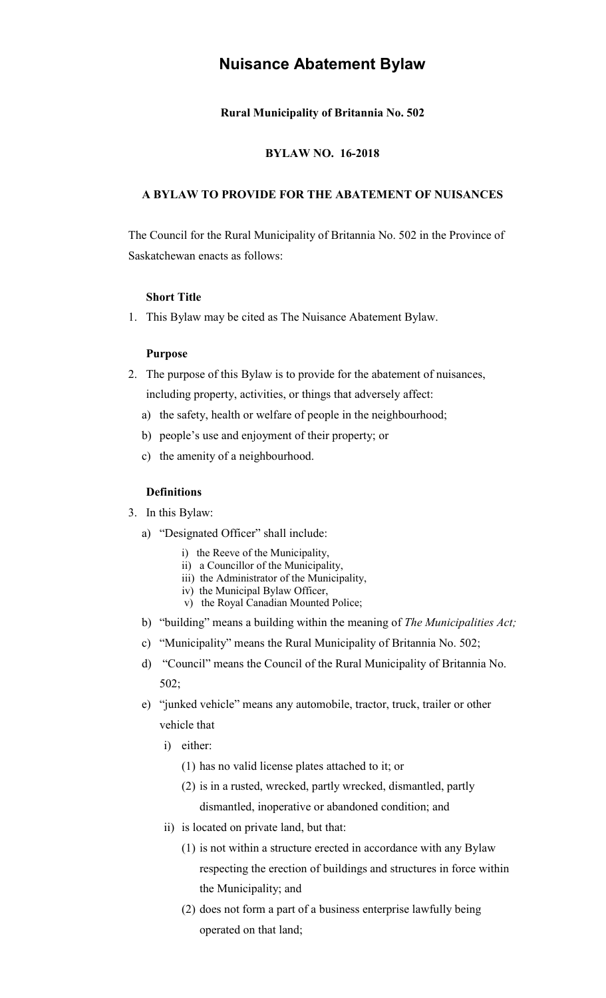# **Nuisance Abatement Bylaw**

# **Rural Municipality of Britannia No. 502**

### **BYLAW NO. 16-2018**

# **A BYLAW TO PROVIDE FOR THE ABATEMENT OF NUISANCES**

The Council for the Rural Municipality of Britannia No. 502 in the Province of Saskatchewan enacts as follows:

# **Short Title**

1. This Bylaw may be cited as The Nuisance Abatement Bylaw.

#### **Purpose**

- 2. The purpose of this Bylaw is to provide for the abatement of nuisances, including property, activities, or things that adversely affect:
	- a) the safety, health or welfare of people in the neighbourhood;
	- b) people's use and enjoyment of their property; or
	- c) the amenity of a neighbourhood.

### **Definitions**

- 3. In this Bylaw:
	- a) "Designated Officer" shall include:
		- i) the Reeve of the Municipality,
		- ii) a Councillor of the Municipality,
		- iii) the Administrator of the Municipality,
		- iv) the Municipal Bylaw Officer,
		- v) the Royal Canadian Mounted Police;
	- b) "building" means a building within the meaning of *The Municipalities Act;*
	- c) "Municipality" means the Rural Municipality of Britannia No. 502;
	- d) "Council" means the Council of the Rural Municipality of Britannia No. 502;
	- e) "junked vehicle" means any automobile, tractor, truck, trailer or other vehicle that
		- i) either:
			- (1) has no valid license plates attached to it; or
			- (2) is in a rusted, wrecked, partly wrecked, dismantled, partly dismantled, inoperative or abandoned condition; and
		- ii) is located on private land, but that:
			- (1) is not within a structure erected in accordance with any Bylaw respecting the erection of buildings and structures in force within the Municipality; and
			- (2) does not form a part of a business enterprise lawfully being operated on that land;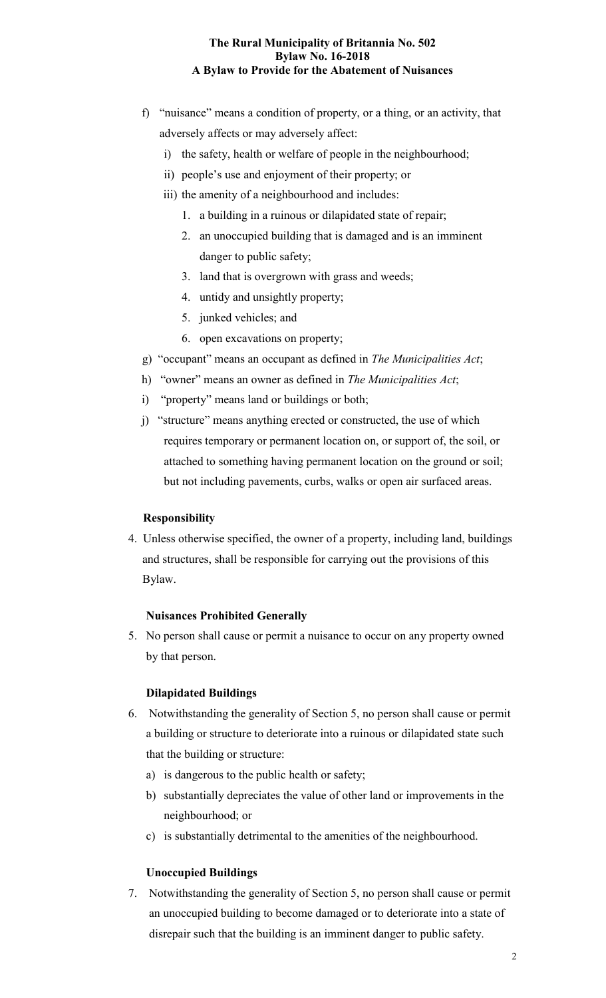- f) "nuisance" means a condition of property, or a thing, or an activity, that adversely affects or may adversely affect:
	- i) the safety, health or welfare of people in the neighbourhood;
	- ii) people's use and enjoyment of their property; or
	- iii) the amenity of a neighbourhood and includes:
		- 1. a building in a ruinous or dilapidated state of repair;
		- 2. an unoccupied building that is damaged and is an imminent danger to public safety;
		- 3. land that is overgrown with grass and weeds;
		- 4. untidy and unsightly property;
		- 5. junked vehicles; and
		- 6. open excavations on property;
- g) "occupant" means an occupant as defined in *The Municipalities Act*;
- h) "owner" means an owner as defined in *The Municipalities Act*;
- i) "property" means land or buildings or both;
- j) "structure" means anything erected or constructed, the use of which requires temporary or permanent location on, or support of, the soil, or attached to something having permanent location on the ground or soil; but not including pavements, curbs, walks or open air surfaced areas.

# **Responsibility**

4. Unless otherwise specified, the owner of a property, including land, buildings and structures, shall be responsible for carrying out the provisions of this Bylaw.

### **Nuisances Prohibited Generally**

5. No person shall cause or permit a nuisance to occur on any property owned by that person.

# **Dilapidated Buildings**

- 6. Notwithstanding the generality of Section 5, no person shall cause or permit a building or structure to deteriorate into a ruinous or dilapidated state such that the building or structure:
	- a) is dangerous to the public health or safety;
	- b) substantially depreciates the value of other land or improvements in the neighbourhood; or
	- c) is substantially detrimental to the amenities of the neighbourhood.

# **Unoccupied Buildings**

7. Notwithstanding the generality of Section 5, no person shall cause or permit an unoccupied building to become damaged or to deteriorate into a state of disrepair such that the building is an imminent danger to public safety.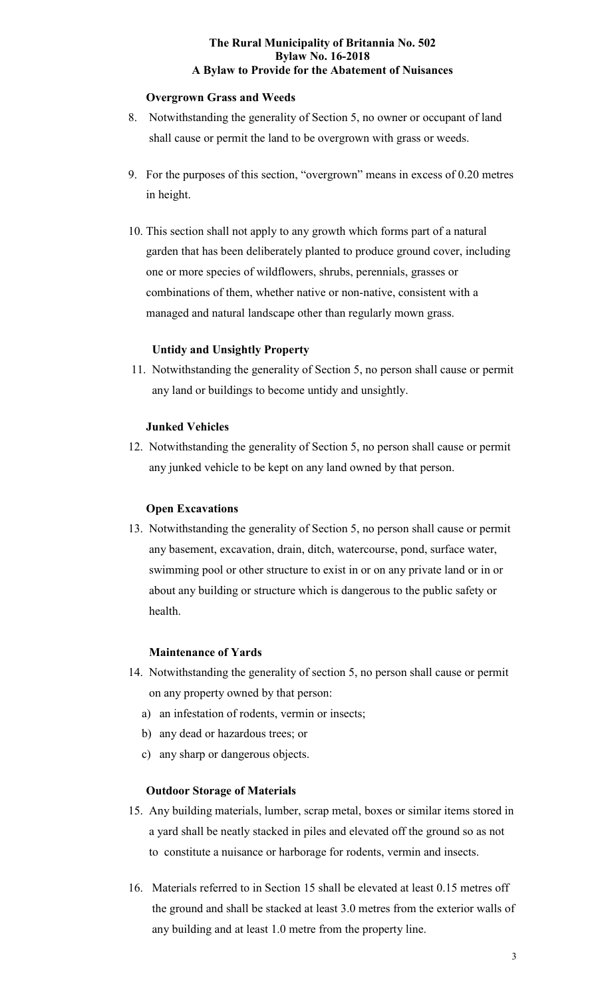# **Overgrown Grass and Weeds**

- 8. Notwithstanding the generality of Section 5, no owner or occupant of land shall cause or permit the land to be overgrown with grass or weeds.
- 9. For the purposes of this section, "overgrown" means in excess of 0.20 metres in height.
- 10. This section shall not apply to any growth which forms part of a natural garden that has been deliberately planted to produce ground cover, including one or more species of wildflowers, shrubs, perennials, grasses or combinations of them, whether native or non-native, consistent with a managed and natural landscape other than regularly mown grass.

# **Untidy and Unsightly Property**

11. Notwithstanding the generality of Section 5, no person shall cause or permit any land or buildings to become untidy and unsightly.

# **Junked Vehicles**

12. Notwithstanding the generality of Section 5, no person shall cause or permit any junked vehicle to be kept on any land owned by that person.

# **Open Excavations**

13. Notwithstanding the generality of Section 5, no person shall cause or permit any basement, excavation, drain, ditch, watercourse, pond, surface water, swimming pool or other structure to exist in or on any private land or in or about any building or structure which is dangerous to the public safety or health.

### **Maintenance of Yards**

- 14. Notwithstanding the generality of section 5, no person shall cause or permit on any property owned by that person:
	- a) an infestation of rodents, vermin or insects;
	- b) any dead or hazardous trees; or
	- c) any sharp or dangerous objects.

#### **Outdoor Storage of Materials**

- 15. Any building materials, lumber, scrap metal, boxes or similar items stored in a yard shall be neatly stacked in piles and elevated off the ground so as not to constitute a nuisance or harborage for rodents, vermin and insects.
- 16. Materials referred to in Section 15 shall be elevated at least 0.15 metres off the ground and shall be stacked at least 3.0 metres from the exterior walls of any building and at least 1.0 metre from the property line.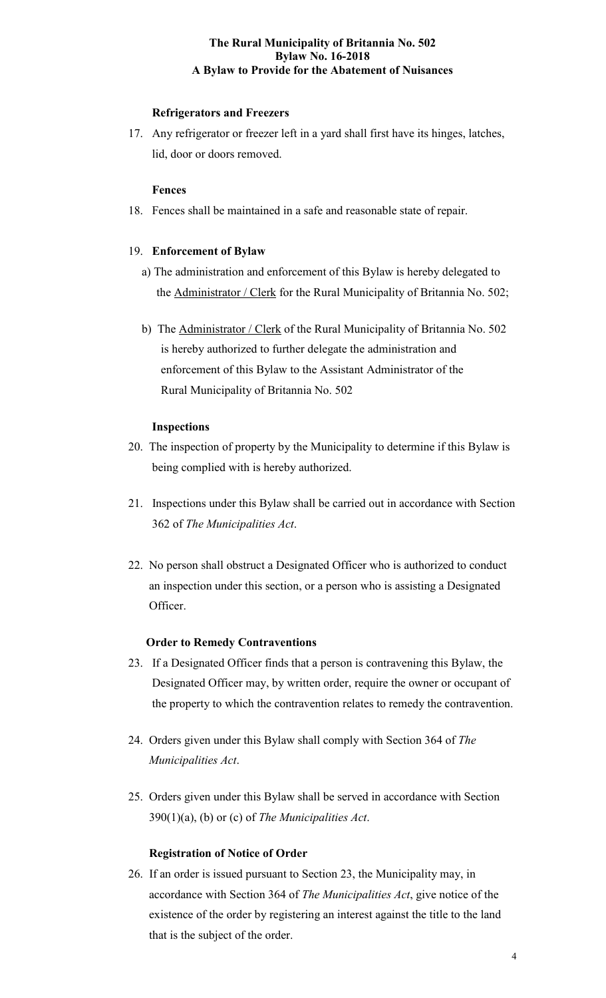# **Refrigerators and Freezers**

17. Any refrigerator or freezer left in a yard shall first have its hinges, latches, lid, door or doors removed.

# **Fences**

18. Fences shall be maintained in a safe and reasonable state of repair.

# 19. **Enforcement of Bylaw**

- a) The administration and enforcement of this Bylaw is hereby delegated to the **Administrator / Clerk** for the Rural Municipality of Britannia No. 502;
- b) The Administrator / Clerk of the Rural Municipality of Britannia No. 502 is hereby authorized to further delegate the administration and enforcement of this Bylaw to the Assistant Administrator of the Rural Municipality of Britannia No. 502

# **Inspections**

- 20. The inspection of property by the Municipality to determine if this Bylaw is being complied with is hereby authorized.
- 21. Inspections under this Bylaw shall be carried out in accordance with Section 362 of *The Municipalities Act*.
- 22. No person shall obstruct a Designated Officer who is authorized to conduct an inspection under this section, or a person who is assisting a Designated Officer.

# **Order to Remedy Contraventions**

- 23. If a Designated Officer finds that a person is contravening this Bylaw, the Designated Officer may, by written order, require the owner or occupant of the property to which the contravention relates to remedy the contravention.
- 24. Orders given under this Bylaw shall comply with Section 364 of *The Municipalities Act*.
- 25. Orders given under this Bylaw shall be served in accordance with Section 390(1)(a), (b) or (c) of *The Municipalities Act*.

# **Registration of Notice of Order**

26. If an order is issued pursuant to Section 23, the Municipality may, in accordance with Section 364 of *The Municipalities Act*, give notice of the existence of the order by registering an interest against the title to the land that is the subject of the order.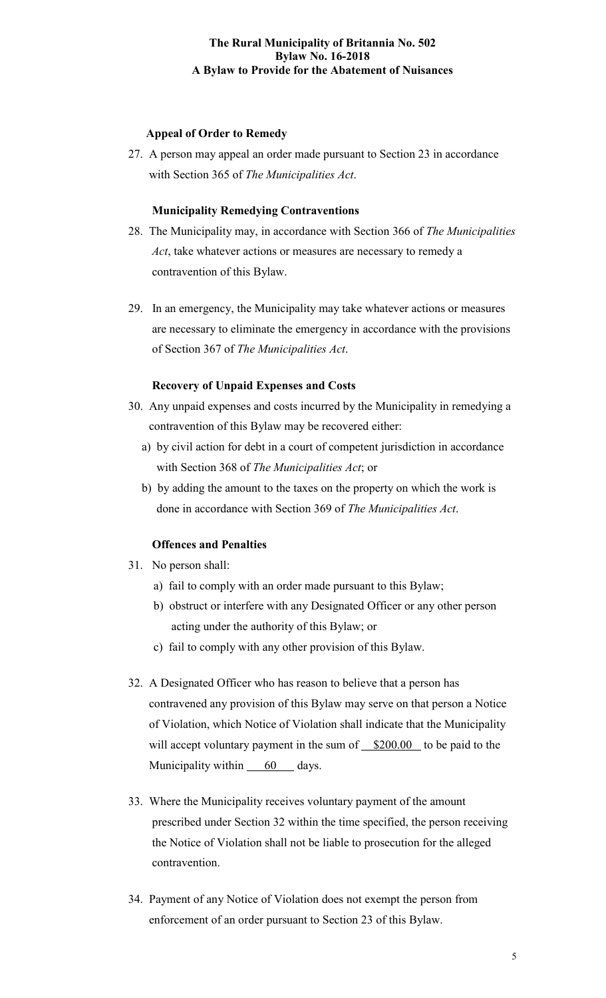# **Appeal of Order to Remedy**

27. A person may appeal an order made pursuant to Section 23 in accordance with Section 365 of *The Municipalities Act*.

### **Municipality Remedying Contraventions**

- 28. The Municipality may, in accordance with Section 366 of *The Municipalities Act*, take whatever actions or measures are necessary to remedy a contravention of this Bylaw.
- 29. In an emergency, the Municipality may take whatever actions or measures are necessary to eliminate the emergency in accordance with the provisions of Section 367 of *The Municipalities Act*.

### **Recovery of Unpaid Expenses and Costs**

- 30. Any unpaid expenses and costs incurred by the Municipality in remedying a contravention of this Bylaw may be recovered either:
	- a) by civil action for debt in a court of competent jurisdiction in accordance with Section 368 of *The Municipalities Act*; or
	- b) by adding the amount to the taxes on the property on which the work is done in accordance with Section 369 of *The Municipalities Act*.

#### **Offences and Penalties**

- 31. No person shall:
	- a) fail to comply with an order made pursuant to this Bylaw;
	- b) obstruct or interfere with any Designated Officer or any other person acting under the authority of this Bylaw; or
	- c) fail to comply with any other provision of this Bylaw.
- 32. A Designated Officer who has reason to believe that a person has contravened any provision of this Bylaw may serve on that person a Notice of Violation, which Notice of Violation shall indicate that the Municipality will accept voluntary payment in the sum of  $$200.00$  to be paid to the Municipality within  $60$  days.
- 33. Where the Municipality receives voluntary payment of the amount prescribed under Section 32 within the time specified, the person receiving the Notice of Violation shall not be liable to prosecution for the alleged contravention.
- 34. Payment of any Notice of Violation does not exempt the person from enforcement of an order pursuant to Section 23 of this Bylaw.